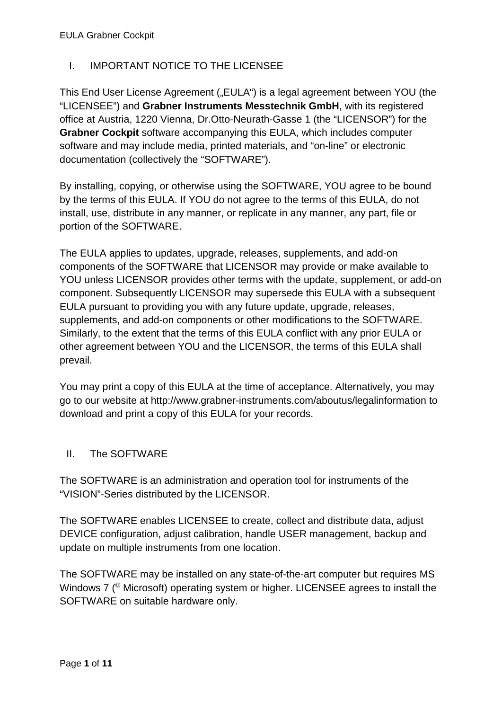## I. IMPORTANT NOTICE TO THE LICENSEE

This End User License Agreement ("EULA") is a legal agreement between YOU (the "LICENSEE") and **Grabner Instruments Messtechnik GmbH**, with its registered office at Austria, 1220 Vienna, Dr.Otto-Neurath-Gasse 1 (the "LICENSOR") for the **Grabner Cockpit** software accompanying this EULA, which includes computer software and may include media, printed materials, and "on-line" or electronic documentation (collectively the "SOFTWARE").

By installing, copying, or otherwise using the SOFTWARE, YOU agree to be bound by the terms of this EULA. If YOU do not agree to the terms of this EULA, do not install, use, distribute in any manner, or replicate in any manner, any part, file or portion of the SOFTWARE.

The EULA applies to updates, upgrade, releases, supplements, and add-on components of the SOFTWARE that LICENSOR may provide or make available to YOU unless LICENSOR provides other terms with the update, supplement, or add-on component. Subsequently LICENSOR may supersede this EULA with a subsequent EULA pursuant to providing you with any future update, upgrade, releases, supplements, and add-on components or other modifications to the SOFTWARE. Similarly, to the extent that the terms of this EULA conflict with any prior EULA or other agreement between YOU and the LICENSOR, the terms of this EULA shall prevail.

You may print a copy of this EULA at the time of acceptance. Alternatively, you may go to our website at http://www.grabner-instruments.com/aboutus/legalinformation to download and print a copy of this EULA for your records.

### II. The SOFTWARE

The SOFTWARE is an administration and operation tool for instruments of the "VISION"-Series distributed by the LICENSOR.

The SOFTWARE enables LICENSEE to create, collect and distribute data, adjust DEVICE configuration, adjust calibration, handle USER management, backup and update on multiple instruments from one location.

The SOFTWARE may be installed on any state-of-the-art computer but requires MS Windows 7 (<sup>©</sup> Microsoft) operating system or higher. LICENSEE agrees to install the SOFTWARE on suitable hardware only.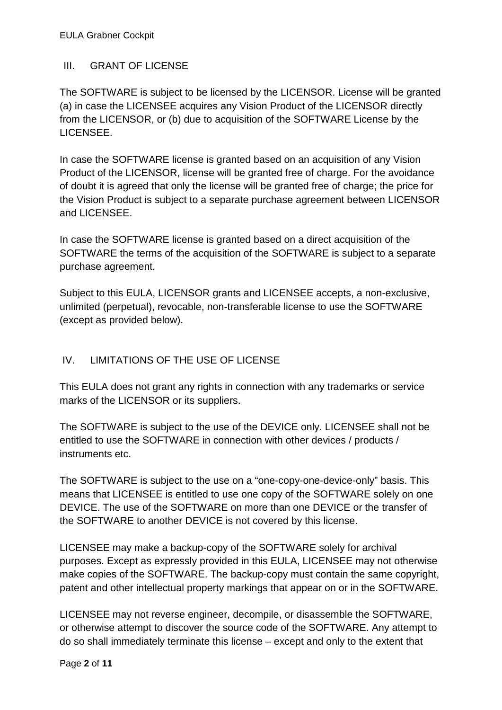### III. GRANT OF LICENSE

The SOFTWARE is subject to be licensed by the LICENSOR. License will be granted (a) in case the LICENSEE acquires any Vision Product of the LICENSOR directly from the LICENSOR, or (b) due to acquisition of the SOFTWARE License by the LICENSEE.

In case the SOFTWARE license is granted based on an acquisition of any Vision Product of the LICENSOR, license will be granted free of charge. For the avoidance of doubt it is agreed that only the license will be granted free of charge; the price for the Vision Product is subject to a separate purchase agreement between LICENSOR and LICENSEE.

In case the SOFTWARE license is granted based on a direct acquisition of the SOFTWARE the terms of the acquisition of the SOFTWARE is subject to a separate purchase agreement.

Subject to this EULA, LICENSOR grants and LICENSEE accepts, a non-exclusive, unlimited (perpetual), revocable, non-transferable license to use the SOFTWARE (except as provided below).

### IV. LIMITATIONS OF THE USE OF LICENSE

This EULA does not grant any rights in connection with any trademarks or service marks of the LICENSOR or its suppliers.

The SOFTWARE is subject to the use of the DEVICE only. LICENSEE shall not be entitled to use the SOFTWARE in connection with other devices / products / instruments etc.

The SOFTWARE is subject to the use on a "one-copy-one-device-only" basis. This means that LICENSEE is entitled to use one copy of the SOFTWARE solely on one DEVICE. The use of the SOFTWARE on more than one DEVICE or the transfer of the SOFTWARE to another DEVICE is not covered by this license.

LICENSEE may make a backup-copy of the SOFTWARE solely for archival purposes. Except as expressly provided in this EULA, LICENSEE may not otherwise make copies of the SOFTWARE. The backup-copy must contain the same copyright, patent and other intellectual property markings that appear on or in the SOFTWARE.

LICENSEE may not reverse engineer, decompile, or disassemble the SOFTWARE, or otherwise attempt to discover the source code of the SOFTWARE. Any attempt to do so shall immediately terminate this license – except and only to the extent that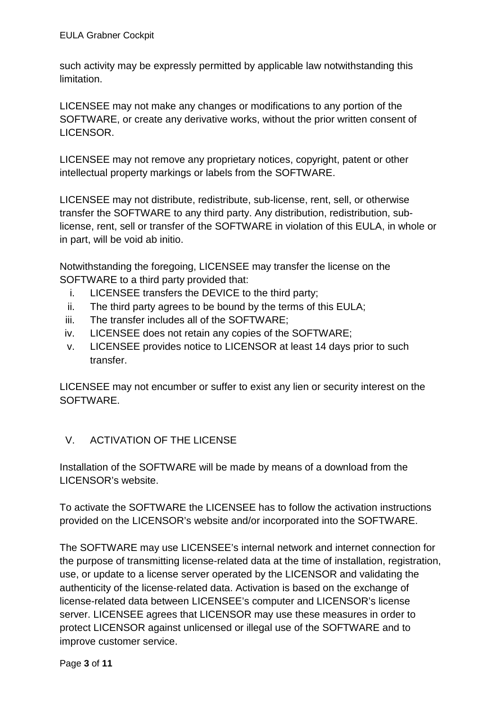such activity may be expressly permitted by applicable law notwithstanding this limitation.

LICENSEE may not make any changes or modifications to any portion of the SOFTWARE, or create any derivative works, without the prior written consent of LICENSOR.

LICENSEE may not remove any proprietary notices, copyright, patent or other intellectual property markings or labels from the SOFTWARE.

LICENSEE may not distribute, redistribute, sub-license, rent, sell, or otherwise transfer the SOFTWARE to any third party. Any distribution, redistribution, sublicense, rent, sell or transfer of the SOFTWARE in violation of this EULA, in whole or in part, will be void ab initio.

Notwithstanding the foregoing, LICENSEE may transfer the license on the SOFTWARE to a third party provided that:

- i. LICENSEE transfers the DEVICE to the third party;
- ii. The third party agrees to be bound by the terms of this EULA;
- iii. The transfer includes all of the SOFTWARE;
- iv. LICENSEE does not retain any copies of the SOFTWARE;
- v. LICENSEE provides notice to LICENSOR at least 14 days prior to such transfer.

LICENSEE may not encumber or suffer to exist any lien or security interest on the SOFTWARE.

### V. ACTIVATION OF THE LICENSE

Installation of the SOFTWARE will be made by means of a download from the LICENSOR's website.

To activate the SOFTWARE the LICENSEE has to follow the activation instructions provided on the LICENSOR's website and/or incorporated into the SOFTWARE.

The SOFTWARE may use LICENSEE's internal network and internet connection for the purpose of transmitting license-related data at the time of installation, registration, use, or update to a license server operated by the LICENSOR and validating the authenticity of the license-related data. Activation is based on the exchange of license-related data between LICENSEE's computer and LICENSOR's license server. LICENSEE agrees that LICENSOR may use these measures in order to protect LICENSOR against unlicensed or illegal use of the SOFTWARE and to improve customer service.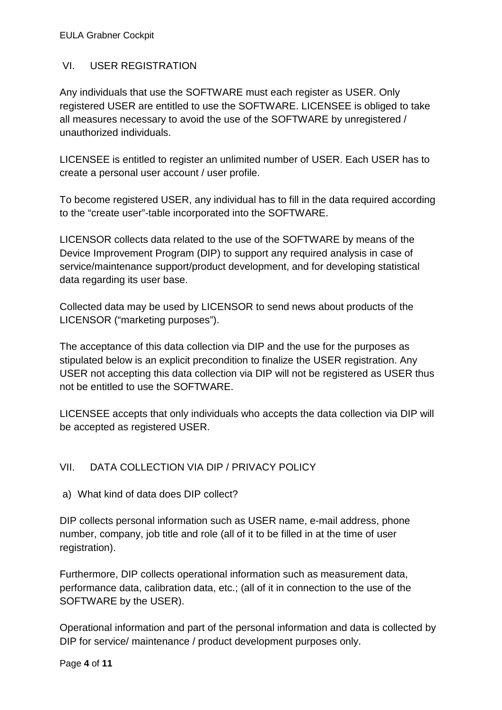#### EULA Grabner Cockpit

#### VI. USER REGISTRATION

Any individuals that use the SOFTWARE must each register as USER. Only registered USER are entitled to use the SOFTWARE. LICENSEE is obliged to take all measures necessary to avoid the use of the SOFTWARE by unregistered / unauthorized individuals.

LICENSEE is entitled to register an unlimited number of USER. Each USER has to create a personal user account / user profile.

To become registered USER, any individual has to fill in the data required according to the "create user"-table incorporated into the SOFTWARE.

LICENSOR collects data related to the use of the SOFTWARE by means of the Device Improvement Program (DIP) to support any required analysis in case of service/maintenance support/product development, and for developing statistical data regarding its user base.

Collected data may be used by LICENSOR to send news about products of the LICENSOR ("marketing purposes").

The acceptance of this data collection via DIP and the use for the purposes as stipulated below is an explicit precondition to finalize the USER registration. Any USER not accepting this data collection via DIP will not be registered as USER thus not be entitled to use the SOFTWARE.

LICENSEE accepts that only individuals who accepts the data collection via DIP will be accepted as registered USER.

### VII. DATA COLLECTION VIA DIP / PRIVACY POLICY

a) What kind of data does DIP collect?

DIP collects personal information such as USER name, e-mail address, phone number, company, job title and role (all of it to be filled in at the time of user registration).

Furthermore, DIP collects operational information such as measurement data, performance data, calibration data, etc.; (all of it in connection to the use of the SOFTWARE by the USER).

Operational information and part of the personal information and data is collected by DIP for service/ maintenance / product development purposes only.

Page **4** of **11**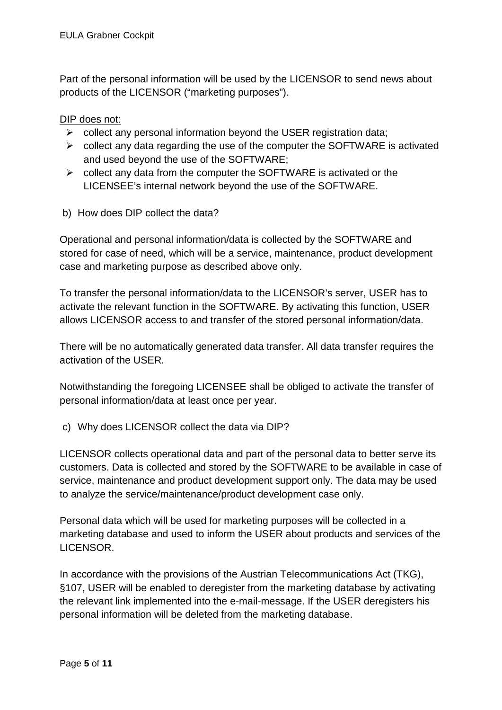Part of the personal information will be used by the LICENSOR to send news about products of the LICENSOR ("marketing purposes").

#### DIP does not:

- $\triangleright$  collect any personal information beyond the USER registration data;
- $\triangleright$  collect any data regarding the use of the computer the SOFTWARE is activated and used beyond the use of the SOFTWARE;
- $\triangleright$  collect any data from the computer the SOFTWARE is activated or the LICENSEE's internal network beyond the use of the SOFTWARE.
- b) How does DIP collect the data?

Operational and personal information/data is collected by the SOFTWARE and stored for case of need, which will be a service, maintenance, product development case and marketing purpose as described above only.

To transfer the personal information/data to the LICENSOR's server, USER has to activate the relevant function in the SOFTWARE. By activating this function, USER allows LICENSOR access to and transfer of the stored personal information/data.

There will be no automatically generated data transfer. All data transfer requires the activation of the USER.

Notwithstanding the foregoing LICENSEE shall be obliged to activate the transfer of personal information/data at least once per year.

c) Why does LICENSOR collect the data via DIP?

LICENSOR collects operational data and part of the personal data to better serve its customers. Data is collected and stored by the SOFTWARE to be available in case of service, maintenance and product development support only. The data may be used to analyze the service/maintenance/product development case only.

Personal data which will be used for marketing purposes will be collected in a marketing database and used to inform the USER about products and services of the LICENSOR.

In accordance with the provisions of the Austrian Telecommunications Act (TKG), §107, USER will be enabled to deregister from the marketing database by activating the relevant link implemented into the e-mail-message. If the USER deregisters his personal information will be deleted from the marketing database.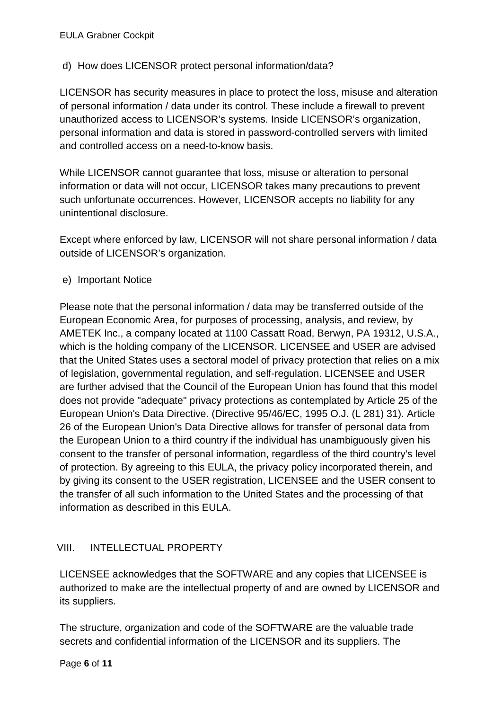### d) How does LICENSOR protect personal information/data?

LICENSOR has security measures in place to protect the loss, misuse and alteration of personal information / data under its control. These include a firewall to prevent unauthorized access to LICENSOR's systems. Inside LICENSOR's organization, personal information and data is stored in password-controlled servers with limited and controlled access on a need-to-know basis.

While LICENSOR cannot guarantee that loss, misuse or alteration to personal information or data will not occur, LICENSOR takes many precautions to prevent such unfortunate occurrences. However, LICENSOR accepts no liability for any unintentional disclosure.

Except where enforced by law, LICENSOR will not share personal information / data outside of LICENSOR's organization.

e) Important Notice

Please note that the personal information / data may be transferred outside of the European Economic Area, for purposes of processing, analysis, and review, by AMETEK Inc., a company located at 1100 Cassatt Road, Berwyn, PA 19312, U.S.A., which is the holding company of the LICENSOR. LICENSEE and USER are advised that the United States uses a sectoral model of privacy protection that relies on a mix of legislation, governmental regulation, and self-regulation. LICENSEE and USER are further advised that the Council of the European Union has found that this model does not provide "adequate" privacy protections as contemplated by Article 25 of the European Union's Data Directive. (Directive 95/46/EC, 1995 O.J. (L 281) 31). Article 26 of the European Union's Data Directive allows for transfer of personal data from the European Union to a third country if the individual has unambiguously given his consent to the transfer of personal information, regardless of the third country's level of protection. By agreeing to this EULA, the privacy policy incorporated therein, and by giving its consent to the USER registration, LICENSEE and the USER consent to the transfer of all such information to the United States and the processing of that information as described in this EULA.

### VIII. INTELLECTUAL PROPERTY

LICENSEE acknowledges that the SOFTWARE and any copies that LICENSEE is authorized to make are the intellectual property of and are owned by LICENSOR and its suppliers.

The structure, organization and code of the SOFTWARE are the valuable trade secrets and confidential information of the LICENSOR and its suppliers. The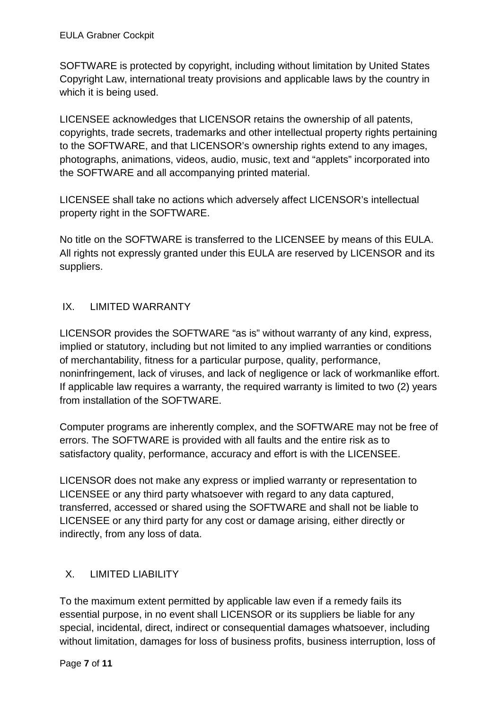SOFTWARE is protected by copyright, including without limitation by United States Copyright Law, international treaty provisions and applicable laws by the country in which it is being used.

LICENSEE acknowledges that LICENSOR retains the ownership of all patents, copyrights, trade secrets, trademarks and other intellectual property rights pertaining to the SOFTWARE, and that LICENSOR's ownership rights extend to any images, photographs, animations, videos, audio, music, text and "applets" incorporated into the SOFTWARE and all accompanying printed material.

LICENSEE shall take no actions which adversely affect LICENSOR's intellectual property right in the SOFTWARE.

No title on the SOFTWARE is transferred to the LICENSEE by means of this EULA. All rights not expressly granted under this EULA are reserved by LICENSOR and its suppliers.

# IX. LIMITED WARRANTY

LICENSOR provides the SOFTWARE "as is" without warranty of any kind, express, implied or statutory, including but not limited to any implied warranties or conditions of merchantability, fitness for a particular purpose, quality, performance, noninfringement, lack of viruses, and lack of negligence or lack of workmanlike effort. If applicable law requires a warranty, the required warranty is limited to two (2) years from installation of the SOFTWARE.

Computer programs are inherently complex, and the SOFTWARE may not be free of errors. The SOFTWARE is provided with all faults and the entire risk as to satisfactory quality, performance, accuracy and effort is with the LICENSEE.

LICENSOR does not make any express or implied warranty or representation to LICENSEE or any third party whatsoever with regard to any data captured, transferred, accessed or shared using the SOFTWARE and shall not be liable to LICENSEE or any third party for any cost or damage arising, either directly or indirectly, from any loss of data.

# X. LIMITED LIABILITY

To the maximum extent permitted by applicable law even if a remedy fails its essential purpose, in no event shall LICENSOR or its suppliers be liable for any special, incidental, direct, indirect or consequential damages whatsoever, including without limitation, damages for loss of business profits, business interruption, loss of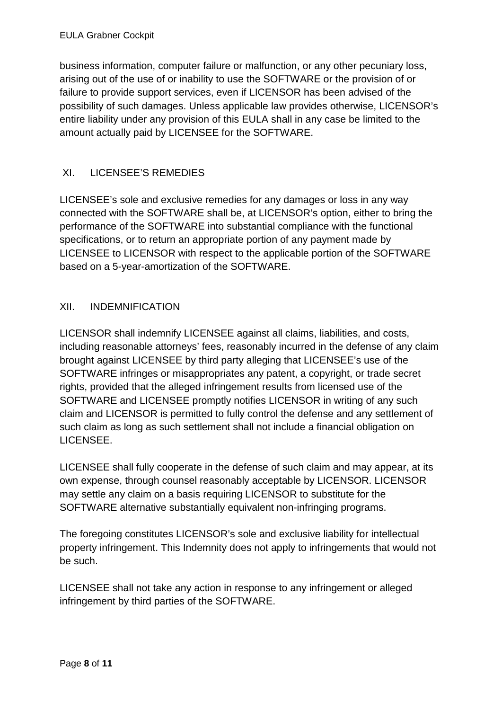business information, computer failure or malfunction, or any other pecuniary loss, arising out of the use of or inability to use the SOFTWARE or the provision of or failure to provide support services, even if LICENSOR has been advised of the possibility of such damages. Unless applicable law provides otherwise, LICENSOR's entire liability under any provision of this EULA shall in any case be limited to the amount actually paid by LICENSEE for the SOFTWARE.

# XI. LICENSEE'S REMEDIES

LICENSEE's sole and exclusive remedies for any damages or loss in any way connected with the SOFTWARE shall be, at LICENSOR's option, either to bring the performance of the SOFTWARE into substantial compliance with the functional specifications, or to return an appropriate portion of any payment made by LICENSEE to LICENSOR with respect to the applicable portion of the SOFTWARE based on a 5-year-amortization of the SOFTWARE.

### XII. INDEMNIFICATION

LICENSOR shall indemnify LICENSEE against all claims, liabilities, and costs, including reasonable attorneys' fees, reasonably incurred in the defense of any claim brought against LICENSEE by third party alleging that LICENSEE's use of the SOFTWARE infringes or misappropriates any patent, a copyright, or trade secret rights, provided that the alleged infringement results from licensed use of the SOFTWARE and LICENSEE promptly notifies LICENSOR in writing of any such claim and LICENSOR is permitted to fully control the defense and any settlement of such claim as long as such settlement shall not include a financial obligation on LICENSEE.

LICENSEE shall fully cooperate in the defense of such claim and may appear, at its own expense, through counsel reasonably acceptable by LICENSOR. LICENSOR may settle any claim on a basis requiring LICENSOR to substitute for the SOFTWARE alternative substantially equivalent non-infringing programs.

The foregoing constitutes LICENSOR's sole and exclusive liability for intellectual property infringement. This Indemnity does not apply to infringements that would not be such.

LICENSEE shall not take any action in response to any infringement or alleged infringement by third parties of the SOFTWARE.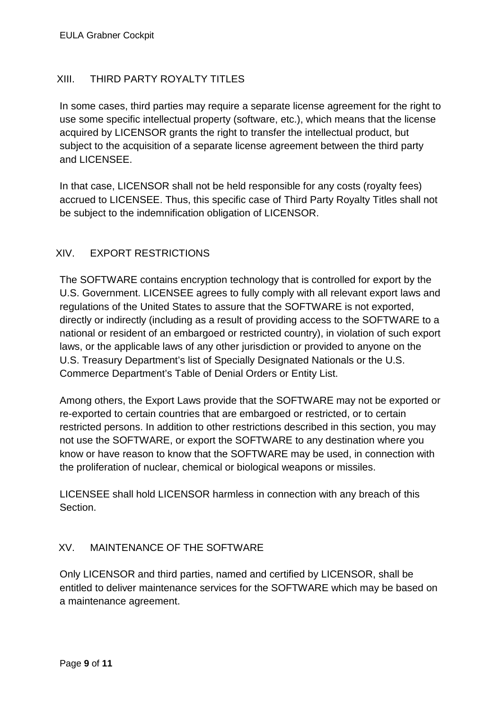### XIII. THIRD PARTY ROYALTY TITLES

In some cases, third parties may require a separate license agreement for the right to use some specific intellectual property (software, etc.), which means that the license acquired by LICENSOR grants the right to transfer the intellectual product, but subject to the acquisition of a separate license agreement between the third party and LICENSEE.

In that case, LICENSOR shall not be held responsible for any costs (royalty fees) accrued to LICENSEE. Thus, this specific case of Third Party Royalty Titles shall not be subject to the indemnification obligation of LICENSOR.

### XIV. EXPORT RESTRICTIONS

The SOFTWARE contains encryption technology that is controlled for export by the U.S. Government. LICENSEE agrees to fully comply with all relevant export laws and regulations of the United States to assure that the SOFTWARE is not exported, directly or indirectly (including as a result of providing access to the SOFTWARE to a national or resident of an embargoed or restricted country), in violation of such export laws, or the applicable laws of any other jurisdiction or provided to anyone on the U.S. Treasury Department's list of Specially Designated Nationals or the U.S. Commerce Department's Table of Denial Orders or Entity List.

Among others, the Export Laws provide that the SOFTWARE may not be exported or re-exported to certain countries that are embargoed or restricted, or to certain restricted persons. In addition to other restrictions described in this section, you may not use the SOFTWARE, or export the SOFTWARE to any destination where you know or have reason to know that the SOFTWARE may be used, in connection with the proliferation of nuclear, chemical or biological weapons or missiles.

LICENSEE shall hold LICENSOR harmless in connection with any breach of this Section.

### XV. MAINTENANCE OF THE SOFTWARE

Only LICENSOR and third parties, named and certified by LICENSOR, shall be entitled to deliver maintenance services for the SOFTWARE which may be based on a maintenance agreement.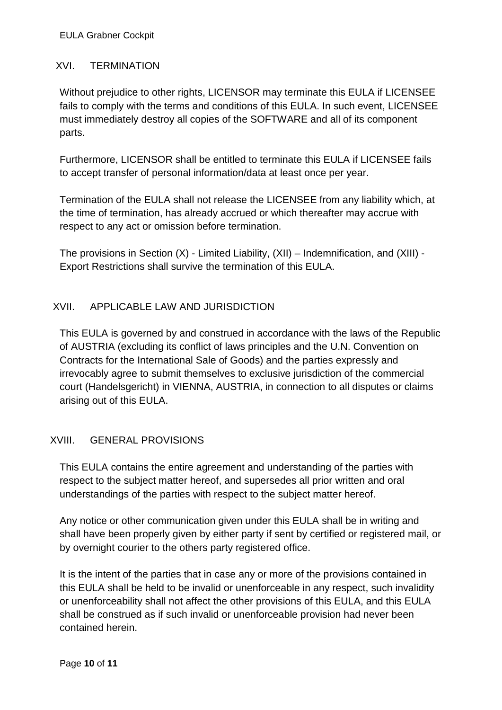### XVI. TERMINATION

Without prejudice to other rights, LICENSOR may terminate this EULA if LICENSEE fails to comply with the terms and conditions of this EULA. In such event, LICENSEE must immediately destroy all copies of the SOFTWARE and all of its component parts.

Furthermore, LICENSOR shall be entitled to terminate this EULA if LICENSEE fails to accept transfer of personal information/data at least once per year.

Termination of the EULA shall not release the LICENSEE from any liability which, at the time of termination, has already accrued or which thereafter may accrue with respect to any act or omission before termination.

The provisions in Section (X) - Limited Liability, (XII) – Indemnification, and (XIII) - Export Restrictions shall survive the termination of this EULA.

# XVII. APPLICABLE LAW AND JURISDICTION

This EULA is governed by and construed in accordance with the laws of the Republic of AUSTRIA (excluding its conflict of laws principles and the U.N. Convention on Contracts for the International Sale of Goods) and the parties expressly and irrevocably agree to submit themselves to exclusive jurisdiction of the commercial court (Handelsgericht) in VIENNA, AUSTRIA, in connection to all disputes or claims arising out of this EULA.

# XVIII. GENERAL PROVISIONS

This EULA contains the entire agreement and understanding of the parties with respect to the subject matter hereof, and supersedes all prior written and oral understandings of the parties with respect to the subject matter hereof.

Any notice or other communication given under this EULA shall be in writing and shall have been properly given by either party if sent by certified or registered mail, or by overnight courier to the others party registered office.

It is the intent of the parties that in case any or more of the provisions contained in this EULA shall be held to be invalid or unenforceable in any respect, such invalidity or unenforceability shall not affect the other provisions of this EULA, and this EULA shall be construed as if such invalid or unenforceable provision had never been contained herein.